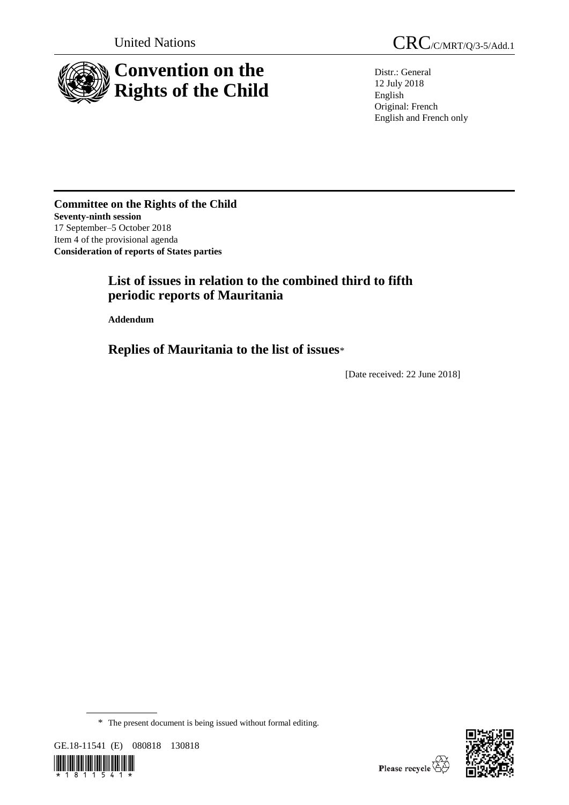

Distr.: General 12 July 2018 English Original: French English and French only

## **Committee on the Rights of the Child Seventy-ninth session** 17 September–5 October 2018 Item 4 of the provisional agenda **Consideration of reports of States parties**

# **List of issues in relation to the combined third to fifth periodic reports of Mauritania**

**Addendum**

**Replies of Mauritania to the list of issues**\*

[Date received: 22 June 2018]

<sup>\*</sup> The present document is being issued without formal editing.





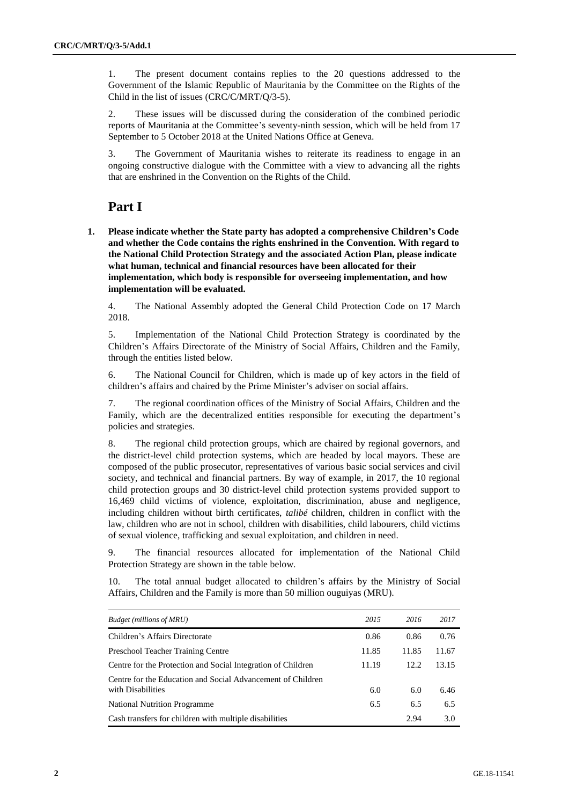1. The present document contains replies to the 20 questions addressed to the Government of the Islamic Republic of Mauritania by the Committee on the Rights of the Child in the list of issues (CRC/C/MRT/Q/3-5).

2. These issues will be discussed during the consideration of the combined periodic reports of Mauritania at the Committee's seventy-ninth session, which will be held from 17 September to 5 October 2018 at the United Nations Office at Geneva.

3. The Government of Mauritania wishes to reiterate its readiness to engage in an ongoing constructive dialogue with the Committee with a view to advancing all the rights that are enshrined in the Convention on the Rights of the Child.

# **Part I**

**1. Please indicate whether the State party has adopted a comprehensive Children's Code and whether the Code contains the rights enshrined in the Convention. With regard to the National Child Protection Strategy and the associated Action Plan, please indicate what human, technical and financial resources have been allocated for their implementation, which body is responsible for overseeing implementation, and how implementation will be evaluated.**

4. The National Assembly adopted the General Child Protection Code on 17 March 2018.

5. Implementation of the National Child Protection Strategy is coordinated by the Children's Affairs Directorate of the Ministry of Social Affairs, Children and the Family, through the entities listed below.

6. The National Council for Children, which is made up of key actors in the field of children's affairs and chaired by the Prime Minister's adviser on social affairs.

7. The regional coordination offices of the Ministry of Social Affairs, Children and the Family, which are the decentralized entities responsible for executing the department's policies and strategies.

8. The regional child protection groups, which are chaired by regional governors, and the district-level child protection systems, which are headed by local mayors. These are composed of the public prosecutor, representatives of various basic social services and civil society, and technical and financial partners. By way of example, in 2017, the 10 regional child protection groups and 30 district-level child protection systems provided support to 16,469 child victims of violence, exploitation, discrimination, abuse and negligence, including children without birth certificates, *talibé* children, children in conflict with the law, children who are not in school, children with disabilities, child labourers, child victims of sexual violence, trafficking and sexual exploitation, and children in need.

9. The financial resources allocated for implementation of the National Child Protection Strategy are shown in the table below.

10. The total annual budget allocated to children's affairs by the Ministry of Social Affairs, Children and the Family is more than 50 million ouguiyas (MRU).

| <b>Budget (millions of MRU)</b>                                                  | 2015  | 2016  | 2017  |
|----------------------------------------------------------------------------------|-------|-------|-------|
| Children's Affairs Directorate                                                   | 0.86  | 0.86  | 0.76  |
| Preschool Teacher Training Centre                                                | 11.85 | 11.85 | 11.67 |
| Centre for the Protection and Social Integration of Children                     | 11.19 | 12.2  | 13.15 |
| Centre for the Education and Social Advancement of Children<br>with Disabilities | 6.0   | 6.0   | 6.46  |
| <b>National Nutrition Programme</b>                                              | 6.5   | 6.5   | 6.5   |
| Cash transfers for children with multiple disabilities                           |       | 2.94  | 3.0   |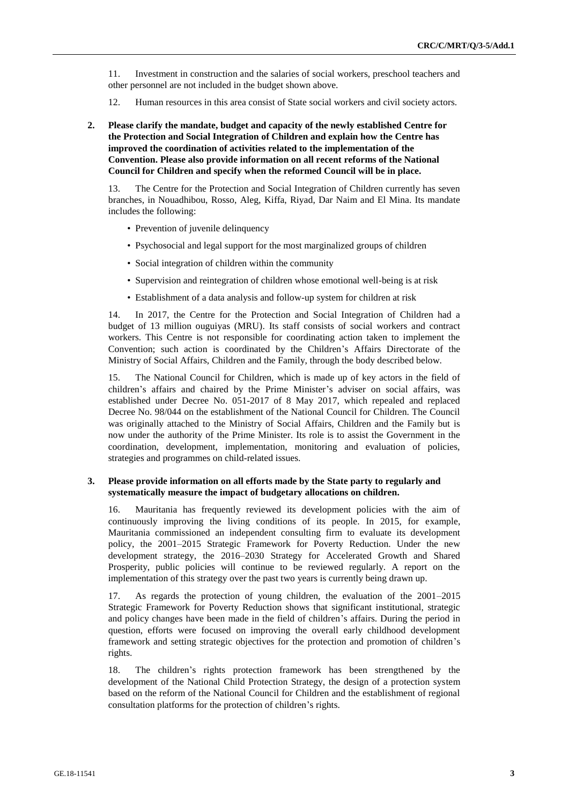11. Investment in construction and the salaries of social workers, preschool teachers and other personnel are not included in the budget shown above.

12. Human resources in this area consist of State social workers and civil society actors.

**2. Please clarify the mandate, budget and capacity of the newly established Centre for the Protection and Social Integration of Children and explain how the Centre has improved the coordination of activities related to the implementation of the Convention. Please also provide information on all recent reforms of the National Council for Children and specify when the reformed Council will be in place.**

13. The Centre for the Protection and Social Integration of Children currently has seven branches, in Nouadhibou, Rosso, Aleg, Kiffa, Riyad, Dar Naim and El Mina. Its mandate includes the following:

- Prevention of juvenile delinquency
- Psychosocial and legal support for the most marginalized groups of children
- Social integration of children within the community
- Supervision and reintegration of children whose emotional well-being is at risk
- Establishment of a data analysis and follow-up system for children at risk

14. In 2017, the Centre for the Protection and Social Integration of Children had a budget of 13 million ouguiyas (MRU). Its staff consists of social workers and contract workers. This Centre is not responsible for coordinating action taken to implement the Convention; such action is coordinated by the Children's Affairs Directorate of the Ministry of Social Affairs, Children and the Family, through the body described below.

15. The National Council for Children, which is made up of key actors in the field of children's affairs and chaired by the Prime Minister's adviser on social affairs, was established under Decree No. 051-2017 of 8 May 2017, which repealed and replaced Decree No. 98/044 on the establishment of the National Council for Children. The Council was originally attached to the Ministry of Social Affairs, Children and the Family but is now under the authority of the Prime Minister. Its role is to assist the Government in the coordination, development, implementation, monitoring and evaluation of policies, strategies and programmes on child-related issues.

## **3. Please provide information on all efforts made by the State party to regularly and systematically measure the impact of budgetary allocations on children.**

16. Mauritania has frequently reviewed its development policies with the aim of continuously improving the living conditions of its people. In 2015, for example, Mauritania commissioned an independent consulting firm to evaluate its development policy, the 2001–2015 Strategic Framework for Poverty Reduction. Under the new development strategy, the 2016–2030 Strategy for Accelerated Growth and Shared Prosperity, public policies will continue to be reviewed regularly. A report on the implementation of this strategy over the past two years is currently being drawn up.

17. As regards the protection of young children, the evaluation of the 2001–2015 Strategic Framework for Poverty Reduction shows that significant institutional, strategic and policy changes have been made in the field of children's affairs. During the period in question, efforts were focused on improving the overall early childhood development framework and setting strategic objectives for the protection and promotion of children's rights.

18. The children's rights protection framework has been strengthened by the development of the National Child Protection Strategy, the design of a protection system based on the reform of the National Council for Children and the establishment of regional consultation platforms for the protection of children's rights.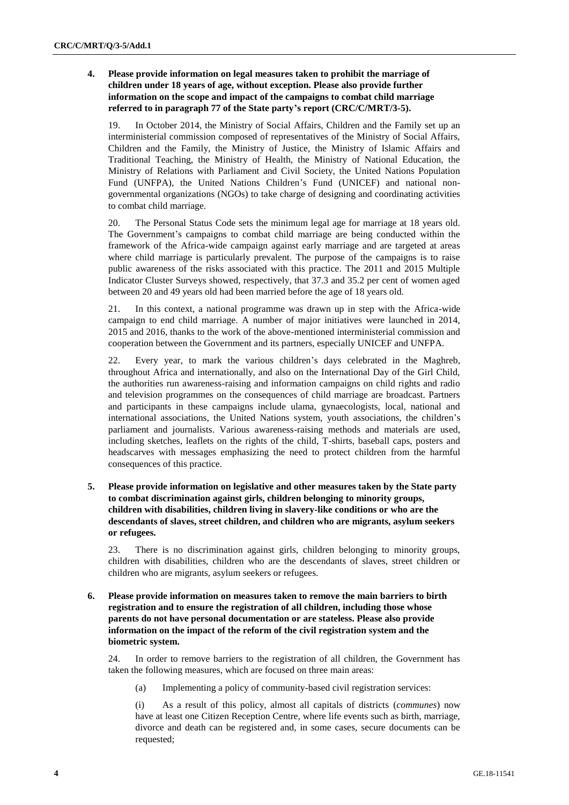## **4. Please provide information on legal measures taken to prohibit the marriage of children under 18 years of age, without exception. Please also provide further information on the scope and impact of the campaigns to combat child marriage referred to in paragraph 77 of the State party's report (CRC/C/MRT/3-5).**

19. In October 2014, the Ministry of Social Affairs, Children and the Family set up an interministerial commission composed of representatives of the Ministry of Social Affairs, Children and the Family, the Ministry of Justice, the Ministry of Islamic Affairs and Traditional Teaching, the Ministry of Health, the Ministry of National Education, the Ministry of Relations with Parliament and Civil Society, the United Nations Population Fund (UNFPA), the United Nations Children's Fund (UNICEF) and national nongovernmental organizations (NGOs) to take charge of designing and coordinating activities to combat child marriage.

20. The Personal Status Code sets the minimum legal age for marriage at 18 years old. The Government's campaigns to combat child marriage are being conducted within the framework of the Africa-wide campaign against early marriage and are targeted at areas where child marriage is particularly prevalent. The purpose of the campaigns is to raise public awareness of the risks associated with this practice. The 2011 and 2015 Multiple Indicator Cluster Surveys showed, respectively, that 37.3 and 35.2 per cent of women aged between 20 and 49 years old had been married before the age of 18 years old.

21. In this context, a national programme was drawn up in step with the Africa-wide campaign to end child marriage. A number of major initiatives were launched in 2014, 2015 and 2016, thanks to the work of the above-mentioned interministerial commission and cooperation between the Government and its partners, especially UNICEF and UNFPA.

22. Every year, to mark the various children's days celebrated in the Maghreb, throughout Africa and internationally, and also on the International Day of the Girl Child, the authorities run awareness-raising and information campaigns on child rights and radio and television programmes on the consequences of child marriage are broadcast. Partners and participants in these campaigns include ulama, gynaecologists, local, national and international associations, the United Nations system, youth associations, the children's parliament and journalists. Various awareness-raising methods and materials are used, including sketches, leaflets on the rights of the child, T-shirts, baseball caps, posters and headscarves with messages emphasizing the need to protect children from the harmful consequences of this practice.

**5. Please provide information on legislative and other measures taken by the State party to combat discrimination against girls, children belonging to minority groups, children with disabilities, children living in slavery-like conditions or who are the descendants of slaves, street children, and children who are migrants, asylum seekers or refugees.**

23. There is no discrimination against girls, children belonging to minority groups, children with disabilities, children who are the descendants of slaves, street children or children who are migrants, asylum seekers or refugees.

**6. Please provide information on measures taken to remove the main barriers to birth registration and to ensure the registration of all children, including those whose parents do not have personal documentation or are stateless. Please also provide information on the impact of the reform of the civil registration system and the biometric system.**

24. In order to remove barriers to the registration of all children, the Government has taken the following measures, which are focused on three main areas:

(a) Implementing a policy of community-based civil registration services:

(i) As a result of this policy, almost all capitals of districts (*communes*) now have at least one Citizen Reception Centre, where life events such as birth, marriage, divorce and death can be registered and, in some cases, secure documents can be requested;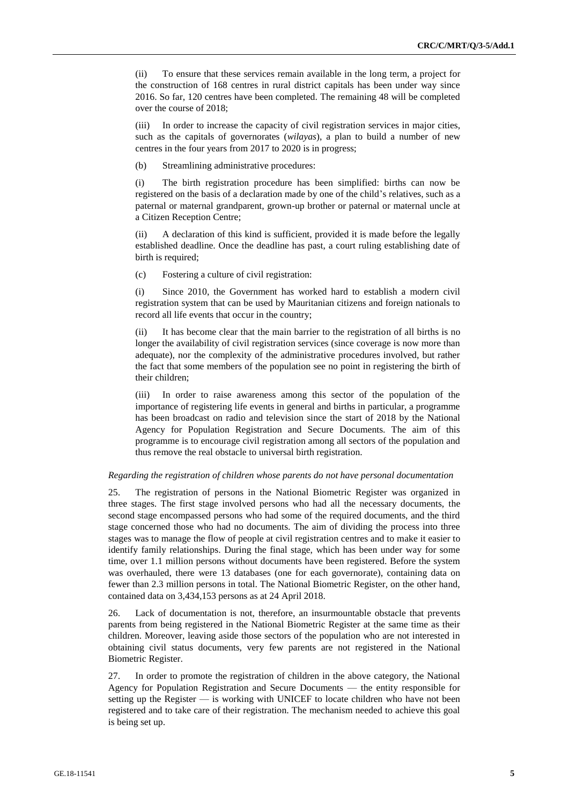(ii) To ensure that these services remain available in the long term, a project for the construction of 168 centres in rural district capitals has been under way since 2016. So far, 120 centres have been completed. The remaining 48 will be completed over the course of 2018;

(iii) In order to increase the capacity of civil registration services in major cities, such as the capitals of governorates (*wilayas*), a plan to build a number of new centres in the four years from 2017 to 2020 is in progress;

(b) Streamlining administrative procedures:

(i) The birth registration procedure has been simplified: births can now be registered on the basis of a declaration made by one of the child's relatives, such as a paternal or maternal grandparent, grown-up brother or paternal or maternal uncle at a Citizen Reception Centre;

(ii) A declaration of this kind is sufficient, provided it is made before the legally established deadline. Once the deadline has past, a court ruling establishing date of birth is required;

(c) Fostering a culture of civil registration:

(i) Since 2010, the Government has worked hard to establish a modern civil registration system that can be used by Mauritanian citizens and foreign nationals to record all life events that occur in the country;

(ii) It has become clear that the main barrier to the registration of all births is no longer the availability of civil registration services (since coverage is now more than adequate), nor the complexity of the administrative procedures involved, but rather the fact that some members of the population see no point in registering the birth of their children;

(iii) In order to raise awareness among this sector of the population of the importance of registering life events in general and births in particular, a programme has been broadcast on radio and television since the start of 2018 by the National Agency for Population Registration and Secure Documents. The aim of this programme is to encourage civil registration among all sectors of the population and thus remove the real obstacle to universal birth registration.

#### *Regarding the registration of children whose parents do not have personal documentation*

25. The registration of persons in the National Biometric Register was organized in three stages. The first stage involved persons who had all the necessary documents, the second stage encompassed persons who had some of the required documents, and the third stage concerned those who had no documents. The aim of dividing the process into three stages was to manage the flow of people at civil registration centres and to make it easier to identify family relationships. During the final stage, which has been under way for some time, over 1.1 million persons without documents have been registered. Before the system was overhauled, there were 13 databases (one for each governorate), containing data on fewer than 2.3 million persons in total. The National Biometric Register, on the other hand, contained data on 3,434,153 persons as at 24 April 2018.

26. Lack of documentation is not, therefore, an insurmountable obstacle that prevents parents from being registered in the National Biometric Register at the same time as their children. Moreover, leaving aside those sectors of the population who are not interested in obtaining civil status documents, very few parents are not registered in the National Biometric Register.

27. In order to promote the registration of children in the above category, the National Agency for Population Registration and Secure Documents — the entity responsible for setting up the Register — is working with UNICEF to locate children who have not been registered and to take care of their registration. The mechanism needed to achieve this goal is being set up.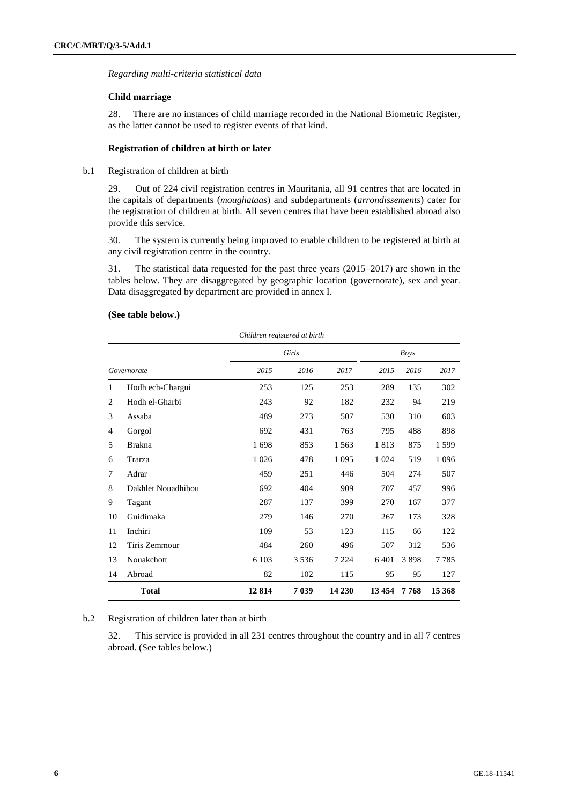## *Regarding multi-criteria statistical data*

## **Child marriage**

28. There are no instances of child marriage recorded in the National Biometric Register, as the latter cannot be used to register events of that kind.

## **Registration of children at birth or later**

b.1 Registration of children at birth

29. Out of 224 civil registration centres in Mauritania, all 91 centres that are located in the capitals of departments (*moughataas*) and subdepartments (*arrondissements*) cater for the registration of children at birth. All seven centres that have been established abroad also provide this service.

30. The system is currently being improved to enable children to be registered at birth at any civil registration centre in the country.

31. The statistical data requested for the past three years (2015–2017) are shown in the tables below. They are disaggregated by geographic location (governorate), sex and year. Data disaggregated by department are provided in annex I.

|              |                    |         | Children registered at birth |         |         |             |         |
|--------------|--------------------|---------|------------------------------|---------|---------|-------------|---------|
|              |                    |         | Girls                        |         |         | <b>Boys</b> |         |
|              | Governorate        | 2015    | 2016                         | 2017    | 2015    | 2016        | 2017    |
| $\mathbf{1}$ | Hodh ech-Chargui   | 253     | 125                          | 253     | 289     | 135         | 302     |
| 2            | Hodh el-Gharbi     | 243     | 92                           | 182     | 232     | 94          | 219     |
| 3            | Assaba             | 489     | 273                          | 507     | 530     | 310         | 603     |
| 4            | Gorgol             | 692     | 431                          | 763     | 795     | 488         | 898     |
| 5            | <b>Brakna</b>      | 1698    | 853                          | 1 5 6 3 | 1813    | 875         | 1599    |
| 6            | Trarza             | 1 0 2 6 | 478                          | 1 0 9 5 | 1 0 24  | 519         | 1 0 9 6 |
| 7            | Adrar              | 459     | 251                          | 446     | 504     | 274         | 507     |
| 8            | Dakhlet Nouadhibou | 692     | 404                          | 909     | 707     | 457         | 996     |
| 9            | Tagant             | 287     | 137                          | 399     | 270     | 167         | 377     |
| 10           | Guidimaka          | 279     | 146                          | 270     | 267     | 173         | 328     |
| 11           | Inchiri            | 109     | 53                           | 123     | 115     | 66          | 122     |
| 12           | Tiris Zemmour      | 484     | 260                          | 496     | 507     | 312         | 536     |
| 13           | Nouakchott         | 6 103   | 3536                         | 7 2 2 4 | 6 4 0 1 | 3898        | 7785    |
| 14           | Abroad             | 82      | 102                          | 115     | 95      | 95          | 127     |
|              | <b>Total</b>       | 12814   | 7 039                        | 14 230  | 13454   | 7 768       | 15 368  |

#### **(See table below.)**

#### b.2 Registration of children later than at birth

32. This service is provided in all 231 centres throughout the country and in all 7 centres abroad. (See tables below.)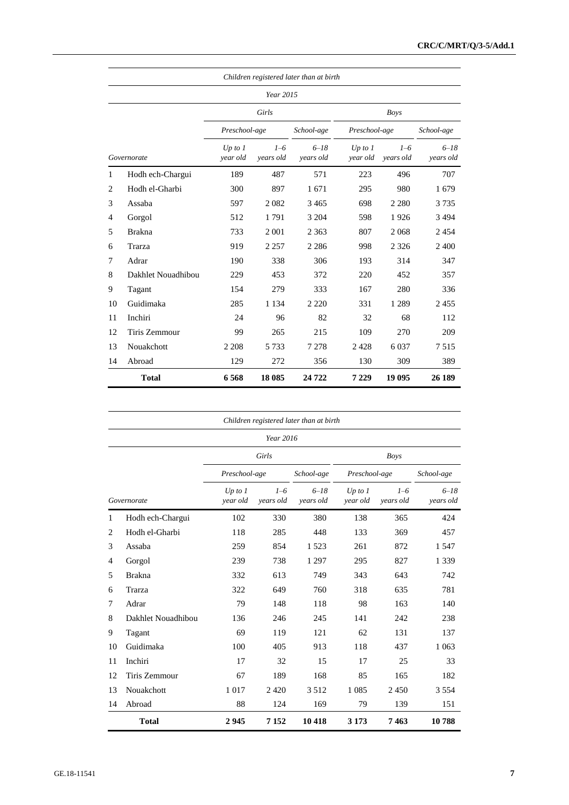|    | Children registered later than at birth |                       |                      |                       |                       |                      |                       |
|----|-----------------------------------------|-----------------------|----------------------|-----------------------|-----------------------|----------------------|-----------------------|
|    |                                         |                       | Year 2015            |                       |                       |                      |                       |
|    |                                         |                       | Girls                |                       |                       | <b>Boys</b>          |                       |
|    |                                         | Preschool-age         |                      | School-age            | Preschool-age         |                      | School-age            |
|    | Governorate                             | Up to $1$<br>year old | $1 - 6$<br>years old | $6 - 18$<br>years old | Up to $1$<br>year old | $1 - 6$<br>vears old | $6 - 18$<br>vears old |
| 1  | Hodh ech-Chargui                        | 189                   | 487                  | 571                   | 223                   | 496                  | 707                   |
| 2  | Hodh el-Gharbi                          | 300                   | 897                  | 1 671                 | 295                   | 980                  | 1679                  |
| 3  | Assaba                                  | 597                   | 2082                 | 3 4 6 5               | 698                   | 2 2 8 0              | 3735                  |
| 4  | Gorgol                                  | 512                   | 1791                 | 3 2 0 4               | 598                   | 1926                 | 3 4 9 4               |
| 5  | <b>Brakna</b>                           | 733                   | 2 0 0 1              | 2 3 6 3               | 807                   | 2 0 6 8              | 2454                  |
| 6  | Trarza                                  | 919                   | 2 2 5 7              | 2 2 8 6               | 998                   | 2 3 2 6              | 2 400                 |
| 7  | Adrar                                   | 190                   | 338                  | 306                   | 193                   | 314                  | 347                   |
| 8  | Dakhlet Nouadhibou                      | 229                   | 453                  | 372                   | 220                   | 452                  | 357                   |
| 9  | Tagant                                  | 154                   | 279                  | 333                   | 167                   | 280                  | 336                   |
| 10 | Guidimaka                               | 285                   | 1 1 3 4              | 2 2 2 0               | 331                   | 1 2 8 9              | 2455                  |
| 11 | Inchiri                                 | 24                    | 96                   | 82                    | 32                    | 68                   | 112                   |
| 12 | Tiris Zemmour                           | 99                    | 265                  | 215                   | 109                   | 270                  | 209                   |
| 13 | Nouakchott                              | 2 2 0 8               | 5 7 3 3              | 7 2 7 8               | 2428                  | 6 0 37               | 7515                  |
| 14 | Abroad                                  | 129                   | 272                  | 356                   | 130                   | 309                  | 389                   |
|    | <b>Total</b>                            | 6568                  | 18 085               | 24722                 | 7 2 2 9               | 19 095               | 26 189                |

|    |                    |                       |                      | Children registered later than at birth |                       |                      |                       |
|----|--------------------|-----------------------|----------------------|-----------------------------------------|-----------------------|----------------------|-----------------------|
|    |                    |                       | Year 2016            |                                         |                       |                      |                       |
|    |                    |                       | Girls                |                                         |                       | <b>Boys</b>          |                       |
|    |                    | Preschool-age         |                      | School-age                              | Preschool-age         |                      | School-age            |
|    | Governorate        | Up to $1$<br>vear old | $1 - 6$<br>vears old | $6 - 18$<br>years old                   | Up to $1$<br>vear old | $1 - 6$<br>years old | $6 - 18$<br>years old |
| 1  | Hodh ech-Chargui   | 102                   | 330                  | 380                                     | 138                   | 365                  | 424                   |
| 2  | Hodh el-Gharbi     | 118                   | 285                  | 448                                     | 133                   | 369                  | 457                   |
| 3  | Assaba             | 259                   | 854                  | 1 5 2 3                                 | 261                   | 872                  | 1.547                 |
| 4  | Gorgol             | 239                   | 738                  | 1 2 9 7                                 | 295                   | 827                  | 1 3 3 9               |
| 5  | <b>Brakna</b>      | 332                   | 613                  | 749                                     | 343                   | 643                  | 742                   |
| 6  | Trarza             | 322                   | 649                  | 760                                     | 318                   | 635                  | 781                   |
| 7  | Adrar              | 79                    | 148                  | 118                                     | 98                    | 163                  | 140                   |
| 8  | Dakhlet Nouadhibou | 136                   | 246                  | 245                                     | 141                   | 242                  | 238                   |
| 9  | Tagant             | 69                    | 119                  | 121                                     | 62                    | 131                  | 137                   |
| 10 | Guidimaka          | 100                   | 405                  | 913                                     | 118                   | 437                  | 1 0 6 3               |
| 11 | Inchiri            | 17                    | 32                   | 15                                      | 17                    | 25                   | 33                    |
| 12 | Tiris Zemmour      | 67                    | 189                  | 168                                     | 85                    | 165                  | 182                   |
| 13 | Nouakchott         | 1 0 1 7               | 2420                 | 3512                                    | 1 0 8 5               | 2450                 | 3 5 5 4               |
| 14 | Abroad             | 88                    | 124                  | 169                                     | 79                    | 139                  | 151                   |
|    | <b>Total</b>       | 2945                  | 7152                 | 10418                                   | 3 1 7 3               | 7463                 | 10788                 |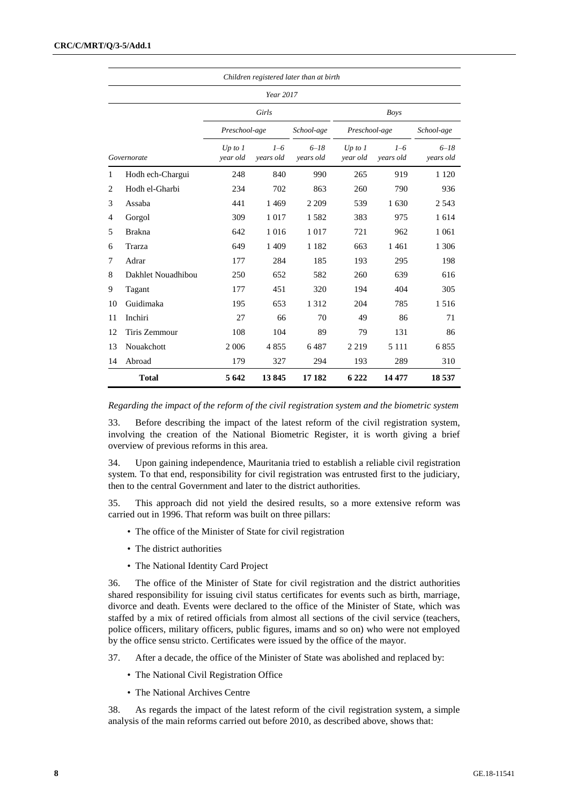|    | Children registered later than at birth |                       |                      |                       |                       |                      |                       |
|----|-----------------------------------------|-----------------------|----------------------|-----------------------|-----------------------|----------------------|-----------------------|
|    |                                         |                       | Year 2017            |                       |                       |                      |                       |
|    |                                         |                       | Girls                |                       |                       | <b>Boys</b>          |                       |
|    |                                         | Preschool-age         |                      | School-age            | Preschool-age         |                      | School-age            |
|    | Governorate                             | Up to $1$<br>year old | $1 - 6$<br>years old | $6 - 18$<br>years old | Up to $1$<br>year old | $1 - 6$<br>years old | $6 - 18$<br>years old |
| 1  | Hodh ech-Chargui                        | 248                   | 840                  | 990                   | 265                   | 919                  | 1 1 2 0               |
| 2  | Hodh el-Gharbi                          | 234                   | 702                  | 863                   | 260                   | 790                  | 936                   |
| 3  | Assaba                                  | 441                   | 1469                 | 2 2 0 9               | 539                   | 1630                 | 2.543                 |
| 4  | Gorgol                                  | 309                   | 1017                 | 1582                  | 383                   | 975                  | 1614                  |
| 5  | <b>Brakna</b>                           | 642                   | 1016                 | 1017                  | 721                   | 962                  | 1 0 6 1               |
| 6  | Trarza                                  | 649                   | 1 4 0 9              | 1 1 8 2               | 663                   | 1461                 | 1 306                 |
| 7  | Adrar                                   | 177                   | 284                  | 185                   | 193                   | 295                  | 198                   |
| 8  | Dakhlet Nouadhibou                      | 250                   | 652                  | 582                   | 260                   | 639                  | 616                   |
| 9  | Tagant                                  | 177                   | 451                  | 320                   | 194                   | 404                  | 305                   |
| 10 | Guidimaka                               | 195                   | 653                  | 1 3 1 2               | 204                   | 785                  | 1516                  |
| 11 | Inchiri                                 | 27                    | 66                   | 70                    | 49                    | 86                   | 71                    |
| 12 | Tiris Zemmour                           | 108                   | 104                  | 89                    | 79                    | 131                  | 86                    |
| 13 | Nouakchott                              | 2006                  | 4855                 | 6487                  | 2 2 1 9               | 5 1 1 1              | 6855                  |
| 14 | Abroad                                  | 179                   | 327                  | 294                   | 193                   | 289                  | 310                   |
|    | <b>Total</b>                            | 5 642                 | 13845                | 17182                 | 6 2 2 2               | 14 477               | 18 537                |

*Regarding the impact of the reform of the civil registration system and the biometric system*

33. Before describing the impact of the latest reform of the civil registration system, involving the creation of the National Biometric Register, it is worth giving a brief overview of previous reforms in this area.

34. Upon gaining independence, Mauritania tried to establish a reliable civil registration system. To that end, responsibility for civil registration was entrusted first to the judiciary, then to the central Government and later to the district authorities.

35. This approach did not yield the desired results, so a more extensive reform was carried out in 1996. That reform was built on three pillars:

- The office of the Minister of State for civil registration
- The district authorities
- The National Identity Card Project

36. The office of the Minister of State for civil registration and the district authorities shared responsibility for issuing civil status certificates for events such as birth, marriage, divorce and death. Events were declared to the office of the Minister of State, which was staffed by a mix of retired officials from almost all sections of the civil service (teachers, police officers, military officers, public figures, imams and so on) who were not employed by the office sensu stricto. Certificates were issued by the office of the mayor.

37. After a decade, the office of the Minister of State was abolished and replaced by:

- The National Civil Registration Office
- The National Archives Centre

38. As regards the impact of the latest reform of the civil registration system, a simple analysis of the main reforms carried out before 2010, as described above, shows that: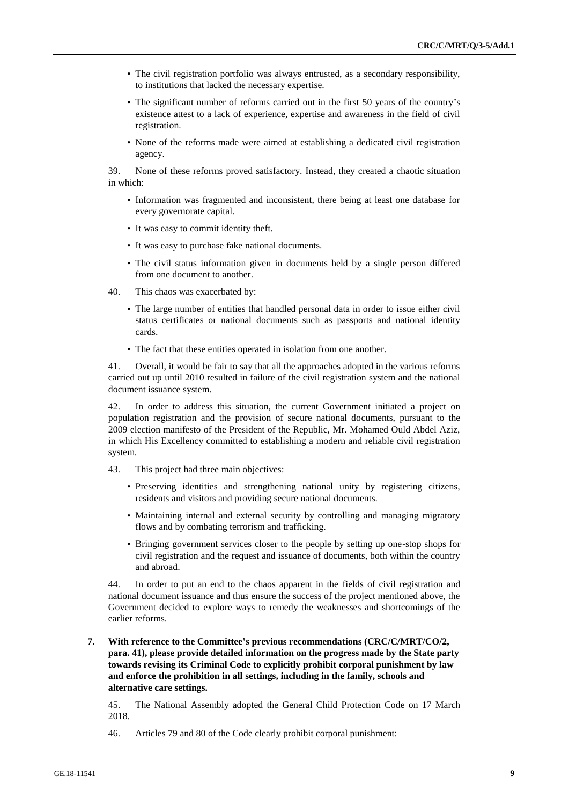- The civil registration portfolio was always entrusted, as a secondary responsibility, to institutions that lacked the necessary expertise.
- The significant number of reforms carried out in the first 50 years of the country's existence attest to a lack of experience, expertise and awareness in the field of civil registration.
- None of the reforms made were aimed at establishing a dedicated civil registration agency.

39. None of these reforms proved satisfactory. Instead, they created a chaotic situation in which:

- Information was fragmented and inconsistent, there being at least one database for every governorate capital.
- It was easy to commit identity theft.
- It was easy to purchase fake national documents.
- The civil status information given in documents held by a single person differed from one document to another.
- 40. This chaos was exacerbated by:
	- The large number of entities that handled personal data in order to issue either civil status certificates or national documents such as passports and national identity cards.
	- The fact that these entities operated in isolation from one another.

41. Overall, it would be fair to say that all the approaches adopted in the various reforms carried out up until 2010 resulted in failure of the civil registration system and the national document issuance system.

42. In order to address this situation, the current Government initiated a project on population registration and the provision of secure national documents, pursuant to the 2009 election manifesto of the President of the Republic, Mr. Mohamed Ould Abdel Aziz, in which His Excellency committed to establishing a modern and reliable civil registration system.

- 43. This project had three main objectives:
	- Preserving identities and strengthening national unity by registering citizens, residents and visitors and providing secure national documents.
	- Maintaining internal and external security by controlling and managing migratory flows and by combating terrorism and trafficking.
	- Bringing government services closer to the people by setting up one-stop shops for civil registration and the request and issuance of documents, both within the country and abroad.

44. In order to put an end to the chaos apparent in the fields of civil registration and national document issuance and thus ensure the success of the project mentioned above, the Government decided to explore ways to remedy the weaknesses and shortcomings of the earlier reforms.

**7. With reference to the Committee's previous recommendations (CRC/C/MRT/CO/2, para. 41), please provide detailed information on the progress made by the State party towards revising its Criminal Code to explicitly prohibit corporal punishment by law and enforce the prohibition in all settings, including in the family, schools and alternative care settings.**

45. The National Assembly adopted the General Child Protection Code on 17 March 2018.

46. Articles 79 and 80 of the Code clearly prohibit corporal punishment: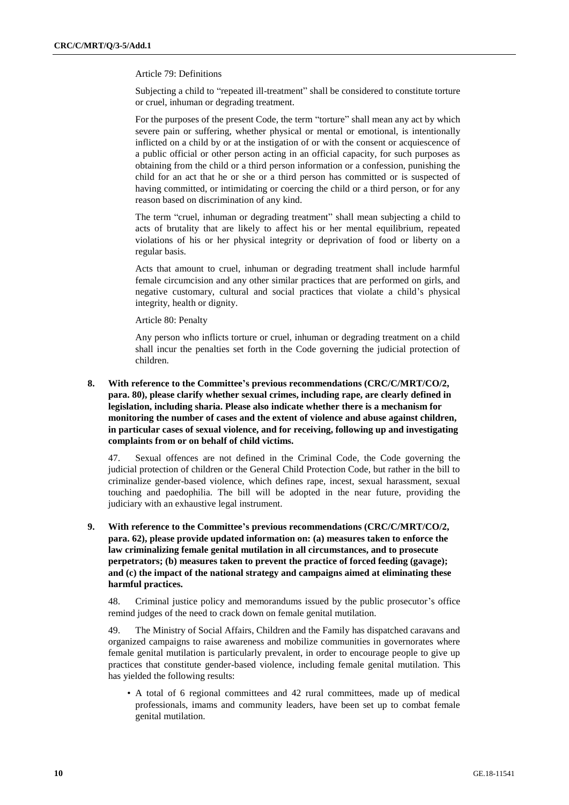Article 79: Definitions

Subjecting a child to "repeated ill-treatment" shall be considered to constitute torture or cruel, inhuman or degrading treatment.

For the purposes of the present Code, the term "torture" shall mean any act by which severe pain or suffering, whether physical or mental or emotional, is intentionally inflicted on a child by or at the instigation of or with the consent or acquiescence of a public official or other person acting in an official capacity, for such purposes as obtaining from the child or a third person information or a confession, punishing the child for an act that he or she or a third person has committed or is suspected of having committed, or intimidating or coercing the child or a third person, or for any reason based on discrimination of any kind.

The term "cruel, inhuman or degrading treatment" shall mean subjecting a child to acts of brutality that are likely to affect his or her mental equilibrium, repeated violations of his or her physical integrity or deprivation of food or liberty on a regular basis.

Acts that amount to cruel, inhuman or degrading treatment shall include harmful female circumcision and any other similar practices that are performed on girls, and negative customary, cultural and social practices that violate a child's physical integrity, health or dignity.

Article 80: Penalty

Any person who inflicts torture or cruel, inhuman or degrading treatment on a child shall incur the penalties set forth in the Code governing the judicial protection of children.

**8. With reference to the Committee's previous recommendations (CRC/C/MRT/CO/2, para. 80), please clarify whether sexual crimes, including rape, are clearly defined in legislation, including sharia. Please also indicate whether there is a mechanism for monitoring the number of cases and the extent of violence and abuse against children, in particular cases of sexual violence, and for receiving, following up and investigating complaints from or on behalf of child victims.** 

47. Sexual offences are not defined in the Criminal Code, the Code governing the judicial protection of children or the General Child Protection Code, but rather in the bill to criminalize gender-based violence, which defines rape, incest, sexual harassment, sexual touching and paedophilia. The bill will be adopted in the near future, providing the judiciary with an exhaustive legal instrument.

**9. With reference to the Committee's previous recommendations (CRC/C/MRT/CO/2, para. 62), please provide updated information on: (a) measures taken to enforce the law criminalizing female genital mutilation in all circumstances, and to prosecute perpetrators; (b) measures taken to prevent the practice of forced feeding (gavage); and (c) the impact of the national strategy and campaigns aimed at eliminating these harmful practices.**

48. Criminal justice policy and memorandums issued by the public prosecutor's office remind judges of the need to crack down on female genital mutilation.

49. The Ministry of Social Affairs, Children and the Family has dispatched caravans and organized campaigns to raise awareness and mobilize communities in governorates where female genital mutilation is particularly prevalent, in order to encourage people to give up practices that constitute gender-based violence, including female genital mutilation. This has yielded the following results:

• A total of 6 regional committees and 42 rural committees, made up of medical professionals, imams and community leaders, have been set up to combat female genital mutilation.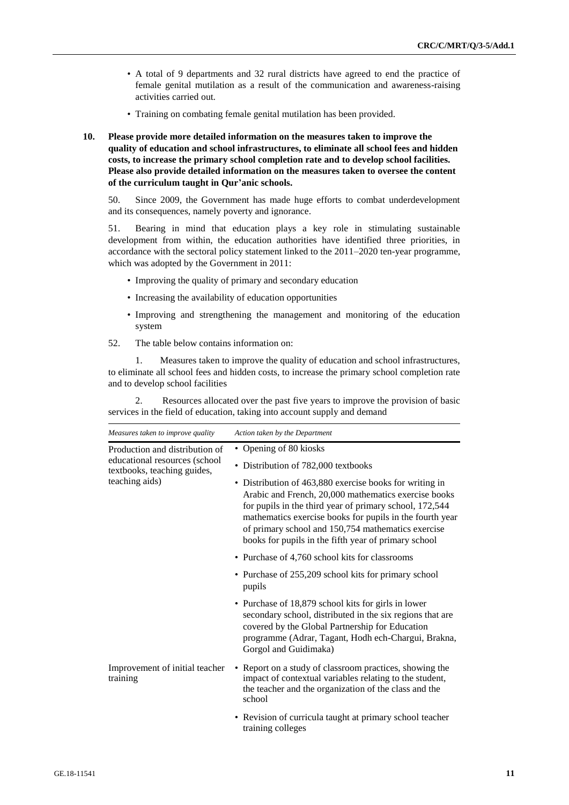- A total of 9 departments and 32 rural districts have agreed to end the practice of female genital mutilation as a result of the communication and awareness-raising activities carried out.
- Training on combating female genital mutilation has been provided.
- **10. Please provide more detailed information on the measures taken to improve the quality of education and school infrastructures, to eliminate all school fees and hidden costs, to increase the primary school completion rate and to develop school facilities. Please also provide detailed information on the measures taken to oversee the content of the curriculum taught in Qur'anic schools.**

50. Since 2009, the Government has made huge efforts to combat underdevelopment and its consequences, namely poverty and ignorance.

51. Bearing in mind that education plays a key role in stimulating sustainable development from within, the education authorities have identified three priorities, in accordance with the sectoral policy statement linked to the 2011–2020 ten-year programme, which was adopted by the Government in 2011:

- Improving the quality of primary and secondary education
- Increasing the availability of education opportunities
- Improving and strengthening the management and monitoring of the education system
- 52. The table below contains information on:

1. Measures taken to improve the quality of education and school infrastructures, to eliminate all school fees and hidden costs, to increase the primary school completion rate and to develop school facilities

2. Resources allocated over the past five years to improve the provision of basic services in the field of education, taking into account supply and demand

| Measures taken to improve quality                            | Action taken by the Department                                                                                                                                                                                                                                                                                                                       |
|--------------------------------------------------------------|------------------------------------------------------------------------------------------------------------------------------------------------------------------------------------------------------------------------------------------------------------------------------------------------------------------------------------------------------|
| Production and distribution of                               | • Opening of 80 kiosks                                                                                                                                                                                                                                                                                                                               |
| educational resources (school<br>textbooks, teaching guides, | Distribution of 782,000 textbooks<br>٠                                                                                                                                                                                                                                                                                                               |
| teaching aids)                                               | • Distribution of 463,880 exercise books for writing in<br>Arabic and French, 20,000 mathematics exercise books<br>for pupils in the third year of primary school, 172,544<br>mathematics exercise books for pupils in the fourth year<br>of primary school and 150,754 mathematics exercise<br>books for pupils in the fifth year of primary school |
|                                                              | • Purchase of 4,760 school kits for classrooms                                                                                                                                                                                                                                                                                                       |
|                                                              | • Purchase of 255,209 school kits for primary school<br>pupils                                                                                                                                                                                                                                                                                       |
|                                                              | • Purchase of 18,879 school kits for girls in lower<br>secondary school, distributed in the six regions that are<br>covered by the Global Partnership for Education<br>programme (Adrar, Tagant, Hodh ech-Chargui, Brakna,<br>Gorgol and Guidimaka)                                                                                                  |
| Improvement of initial teacher<br>training                   | Report on a study of classroom practices, showing the<br>٠<br>impact of contextual variables relating to the student,<br>the teacher and the organization of the class and the<br>school                                                                                                                                                             |
|                                                              | • Revision of curricula taught at primary school teacher<br>training colleges                                                                                                                                                                                                                                                                        |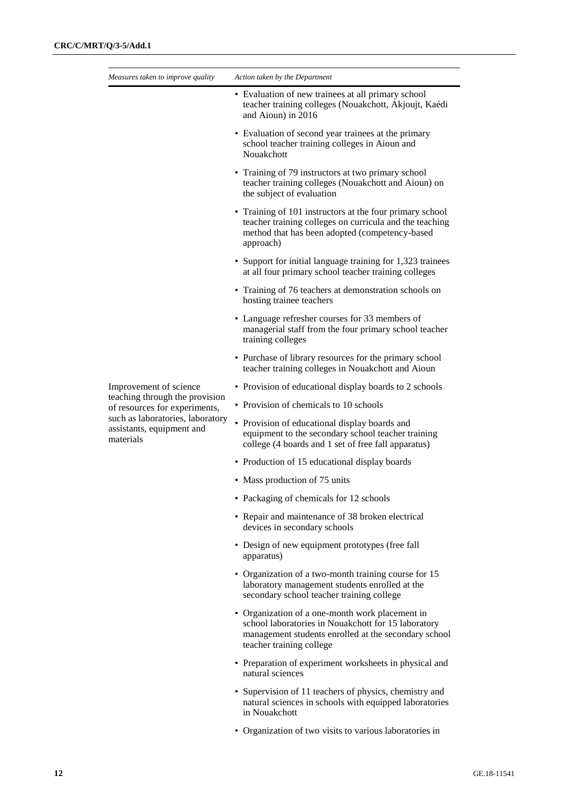| Measures taken to improve quality                                                         | Action taken by the Department                                                                                                                                                             |
|-------------------------------------------------------------------------------------------|--------------------------------------------------------------------------------------------------------------------------------------------------------------------------------------------|
|                                                                                           | • Evaluation of new trainees at all primary school<br>teacher training colleges (Nouakchott, Akjoujt, Kaédi<br>and Aioun) in 2016                                                          |
|                                                                                           | • Evaluation of second year trainees at the primary<br>school teacher training colleges in Aioun and<br>Nouakchott                                                                         |
|                                                                                           | • Training of 79 instructors at two primary school<br>teacher training colleges (Nouakchott and Aioun) on<br>the subject of evaluation                                                     |
| Improvement of science<br>teaching through the provision<br>of resources for experiments, | • Training of 101 instructors at the four primary school<br>teacher training colleges on curricula and the teaching<br>method that has been adopted (competency-based<br>approach)         |
|                                                                                           | • Support for initial language training for 1,323 trainees<br>at all four primary school teacher training colleges                                                                         |
|                                                                                           | • Training of 76 teachers at demonstration schools on<br>hosting trainee teachers                                                                                                          |
|                                                                                           | • Language refresher courses for 33 members of<br>managerial staff from the four primary school teacher<br>training colleges                                                               |
|                                                                                           | • Purchase of library resources for the primary school<br>teacher training colleges in Nouakchott and Aioun                                                                                |
|                                                                                           | • Provision of educational display boards to 2 schools                                                                                                                                     |
|                                                                                           | • Provision of chemicals to 10 schools                                                                                                                                                     |
| such as laboratories, laboratory<br>assistants, equipment and<br>materials                | • Provision of educational display boards and<br>equipment to the secondary school teacher training<br>college (4 boards and 1 set of free fall apparatus)                                 |
|                                                                                           | • Production of 15 educational display boards                                                                                                                                              |
|                                                                                           | • Mass production of 75 units                                                                                                                                                              |
|                                                                                           | • Packaging of chemicals for 12 schools                                                                                                                                                    |
|                                                                                           | • Repair and maintenance of 38 broken electrical<br>devices in secondary schools                                                                                                           |
|                                                                                           | • Design of new equipment prototypes (free fall<br>apparatus)                                                                                                                              |
|                                                                                           | • Organization of a two-month training course for 15<br>laboratory management students enrolled at the<br>secondary school teacher training college                                        |
|                                                                                           | • Organization of a one-month work placement in<br>school laboratories in Nouakchott for 15 laboratory<br>management students enrolled at the secondary school<br>teacher training college |
|                                                                                           | • Preparation of experiment worksheets in physical and<br>natural sciences                                                                                                                 |
|                                                                                           | • Supervision of 11 teachers of physics, chemistry and<br>natural sciences in schools with equipped laboratories<br>in Nouakchott                                                          |

• Organization of two visits to various laboratories in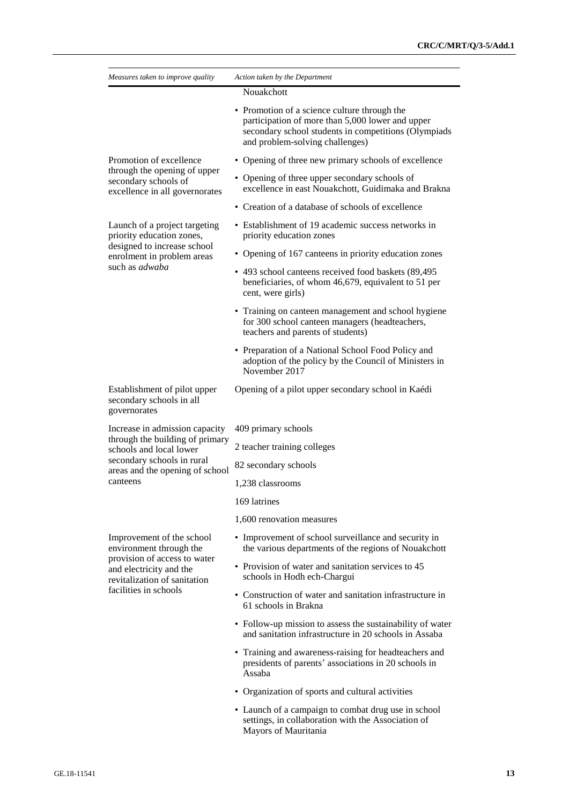| Measures taken to improve quality                                                       | Action taken by the Department                                                                                                                                                              |
|-----------------------------------------------------------------------------------------|---------------------------------------------------------------------------------------------------------------------------------------------------------------------------------------------|
|                                                                                         | Nouakchott                                                                                                                                                                                  |
|                                                                                         | • Promotion of a science culture through the<br>participation of more than 5,000 lower and upper<br>secondary school students in competitions (Olympiads<br>and problem-solving challenges) |
| Promotion of excellence                                                                 | • Opening of three new primary schools of excellence                                                                                                                                        |
| through the opening of upper<br>secondary schools of<br>excellence in all governorates  | • Opening of three upper secondary schools of<br>excellence in east Nouakchott, Guidimaka and Brakna                                                                                        |
|                                                                                         | • Creation of a database of schools of excellence                                                                                                                                           |
| Launch of a project targeting<br>priority education zones,                              | • Establishment of 19 academic success networks in<br>priority education zones                                                                                                              |
| designed to increase school<br>enrolment in problem areas                               | • Opening of 167 canteens in priority education zones                                                                                                                                       |
| such as adwaba                                                                          | • 493 school canteens received food baskets (89,495)<br>beneficiaries, of whom 46,679, equivalent to 51 per<br>cent, were girls)                                                            |
|                                                                                         | • Training on canteen management and school hygiene<br>for 300 school canteen managers (headteachers,<br>teachers and parents of students)                                                  |
|                                                                                         | • Preparation of a National School Food Policy and<br>adoption of the policy by the Council of Ministers in<br>November 2017                                                                |
| Establishment of pilot upper<br>secondary schools in all<br>governorates                | Opening of a pilot upper secondary school in Kaédi                                                                                                                                          |
| Increase in admission capacity                                                          | 409 primary schools                                                                                                                                                                         |
| through the building of primary<br>schools and local lower                              | 2 teacher training colleges                                                                                                                                                                 |
| secondary schools in rural<br>areas and the opening of school                           | 82 secondary schools                                                                                                                                                                        |
| canteens                                                                                | 1,238 classrooms                                                                                                                                                                            |
|                                                                                         | 169 latrines                                                                                                                                                                                |
|                                                                                         | 1,600 renovation measures                                                                                                                                                                   |
| Improvement of the school<br>environment through the                                    | • Improvement of school surveillance and security in<br>the various departments of the regions of Nouakchott                                                                                |
| provision of access to water<br>and electricity and the<br>revitalization of sanitation | • Provision of water and sanitation services to 45<br>schools in Hodh ech-Chargui                                                                                                           |
| facilities in schools                                                                   | • Construction of water and sanitation infrastructure in<br>61 schools in Brakna                                                                                                            |
|                                                                                         | • Follow-up mission to assess the sustainability of water<br>and sanitation infrastructure in 20 schools in Assaba                                                                          |
|                                                                                         | • Training and awareness-raising for headteachers and<br>presidents of parents' associations in 20 schools in                                                                               |
|                                                                                         | Assaba                                                                                                                                                                                      |

• Launch of a campaign to combat drug use in school settings, in collaboration with the Association of Mayors of Mauritania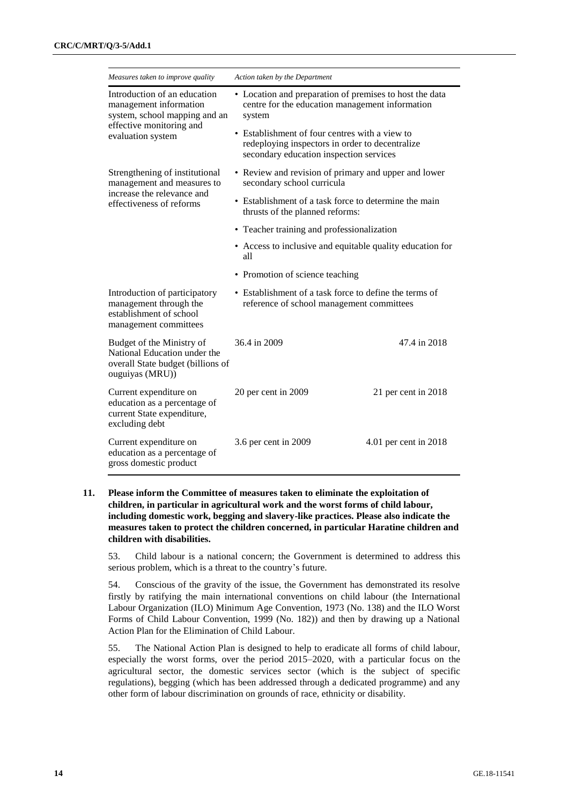| Measures taken to improve quality                                                                                 | Action taken by the Department                                                                                                               |                       |  |
|-------------------------------------------------------------------------------------------------------------------|----------------------------------------------------------------------------------------------------------------------------------------------|-----------------------|--|
| Introduction of an education<br>management information<br>system, school mapping and an                           | • Location and preparation of premises to host the data<br>centre for the education management information<br>system                         |                       |  |
| effective monitoring and<br>evaluation system                                                                     | • Establishment of four centres with a view to<br>redeploying inspectors in order to decentralize<br>secondary education inspection services |                       |  |
| Strengthening of institutional<br>management and measures to                                                      | • Review and revision of primary and upper and lower<br>secondary school curricula                                                           |                       |  |
| increase the relevance and<br>effectiveness of reforms                                                            | • Establishment of a task force to determine the main<br>thrusts of the planned reforms:                                                     |                       |  |
|                                                                                                                   | • Teacher training and professionalization                                                                                                   |                       |  |
|                                                                                                                   | • Access to inclusive and equitable quality education for<br>all                                                                             |                       |  |
|                                                                                                                   | • Promotion of science teaching                                                                                                              |                       |  |
| Introduction of participatory<br>management through the<br>establishment of school<br>management committees       | • Establishment of a task force to define the terms of<br>reference of school management committees                                          |                       |  |
| Budget of the Ministry of<br>National Education under the<br>overall State budget (billions of<br>ouguiyas (MRU)) | 36.4 in 2009                                                                                                                                 | 47.4 in 2018          |  |
| Current expenditure on<br>education as a percentage of<br>current State expenditure,<br>excluding debt            | 20 per cent in 2009                                                                                                                          | 21 per cent in 2018   |  |
| Current expenditure on<br>education as a percentage of<br>gross domestic product                                  | 3.6 per cent in 2009                                                                                                                         | 4.01 per cent in 2018 |  |

## **11. Please inform the Committee of measures taken to eliminate the exploitation of children, in particular in agricultural work and the worst forms of child labour, including domestic work, begging and slavery-like practices. Please also indicate the measures taken to protect the children concerned, in particular Haratine children and children with disabilities.**

53. Child labour is a national concern; the Government is determined to address this serious problem, which is a threat to the country's future.

54. Conscious of the gravity of the issue, the Government has demonstrated its resolve firstly by ratifying the main international conventions on child labour (the International Labour Organization (ILO) Minimum Age Convention, 1973 (No. 138) and the ILO Worst Forms of Child Labour Convention, 1999 (No. 182)) and then by drawing up a National Action Plan for the Elimination of Child Labour.

55. The National Action Plan is designed to help to eradicate all forms of child labour, especially the worst forms, over the period 2015–2020, with a particular focus on the agricultural sector, the domestic services sector (which is the subject of specific regulations), begging (which has been addressed through a dedicated programme) and any other form of labour discrimination on grounds of race, ethnicity or disability.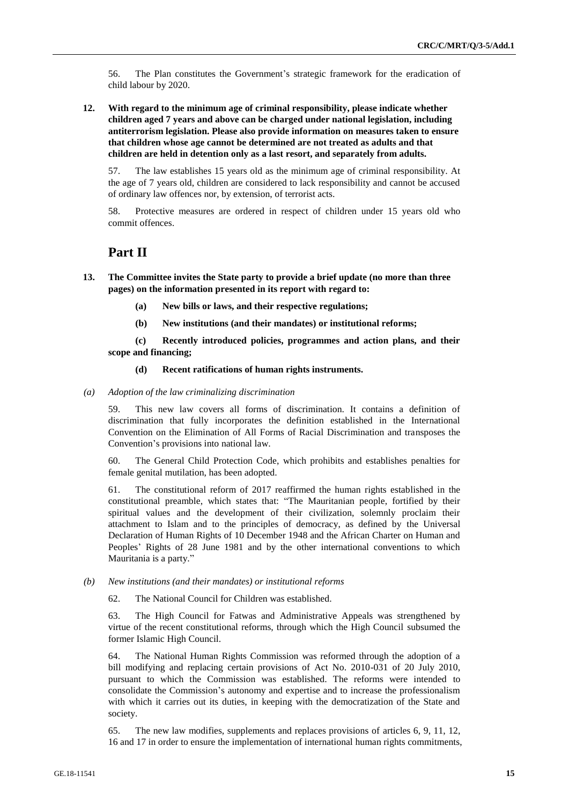56. The Plan constitutes the Government's strategic framework for the eradication of child labour by 2020.

**12. With regard to the minimum age of criminal responsibility, please indicate whether children aged 7 years and above can be charged under national legislation, including antiterrorism legislation. Please also provide information on measures taken to ensure that children whose age cannot be determined are not treated as adults and that children are held in detention only as a last resort, and separately from adults.** 

57. The law establishes 15 years old as the minimum age of criminal responsibility. At the age of 7 years old, children are considered to lack responsibility and cannot be accused of ordinary law offences nor, by extension, of terrorist acts.

58. Protective measures are ordered in respect of children under 15 years old who commit offences.

## **Part II**

- **13. The Committee invites the State party to provide a brief update (no more than three pages) on the information presented in its report with regard to:**
	- **(a) New bills or laws, and their respective regulations;**
	- **(b) New institutions (and their mandates) or institutional reforms;**

**(c) Recently introduced policies, programmes and action plans, and their scope and financing;**

#### **(d) Recent ratifications of human rights instruments.**

*(a) Adoption of the law criminalizing discrimination*

59. This new law covers all forms of discrimination. It contains a definition of discrimination that fully incorporates the definition established in the International Convention on the Elimination of All Forms of Racial Discrimination and transposes the Convention's provisions into national law.

60. The General Child Protection Code, which prohibits and establishes penalties for female genital mutilation, has been adopted.

61. The constitutional reform of 2017 reaffirmed the human rights established in the constitutional preamble, which states that: "The Mauritanian people, fortified by their spiritual values and the development of their civilization, solemnly proclaim their attachment to Islam and to the principles of democracy, as defined by the Universal Declaration of Human Rights of 10 December 1948 and the African Charter on Human and Peoples' Rights of 28 June 1981 and by the other international conventions to which Mauritania is a party."

*(b) New institutions (and their mandates) or institutional reforms*

62. The National Council for Children was established.

63. The High Council for Fatwas and Administrative Appeals was strengthened by virtue of the recent constitutional reforms, through which the High Council subsumed the former Islamic High Council.

64. The National Human Rights Commission was reformed through the adoption of a bill modifying and replacing certain provisions of Act No. 2010-031 of 20 July 2010, pursuant to which the Commission was established. The reforms were intended to consolidate the Commission's autonomy and expertise and to increase the professionalism with which it carries out its duties, in keeping with the democratization of the State and society.

65. The new law modifies, supplements and replaces provisions of articles 6, 9, 11, 12, 16 and 17 in order to ensure the implementation of international human rights commitments,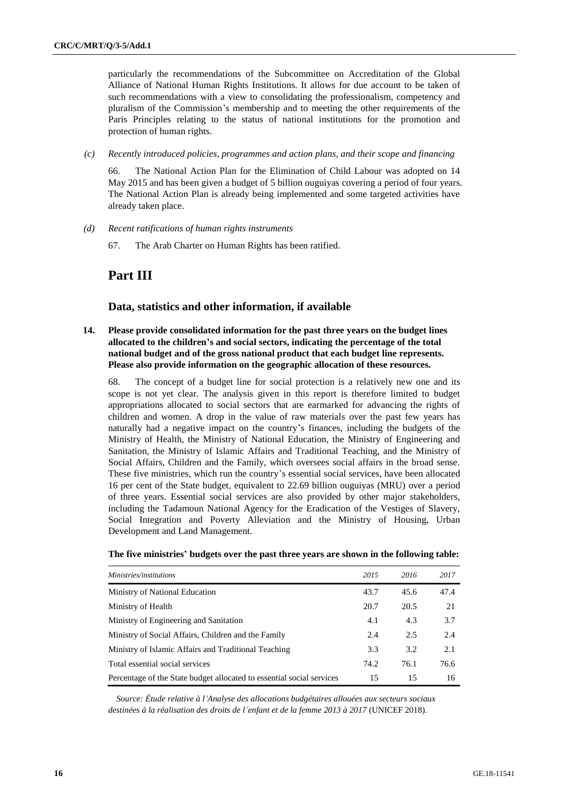particularly the recommendations of the Subcommittee on Accreditation of the Global Alliance of National Human Rights Institutions. It allows for due account to be taken of such recommendations with a view to consolidating the professionalism, competency and pluralism of the Commission's membership and to meeting the other requirements of the Paris Principles relating to the status of national institutions for the promotion and protection of human rights.

*(c) Recently introduced policies, programmes and action plans, and their scope and financing*

66. The National Action Plan for the Elimination of Child Labour was adopted on 14 May 2015 and has been given a budget of 5 billion ouguiyas covering a period of four years. The National Action Plan is already being implemented and some targeted activities have already taken place.

- *(d) Recent ratifications of human rights instruments*
	- 67. The Arab Charter on Human Rights has been ratified.

## **Part III**

## **Data, statistics and other information, if available**

**14. Please provide consolidated information for the past three years on the budget lines allocated to the children's and social sectors, indicating the percentage of the total national budget and of the gross national product that each budget line represents. Please also provide information on the geographic allocation of these resources.**

68. The concept of a budget line for social protection is a relatively new one and its scope is not yet clear. The analysis given in this report is therefore limited to budget appropriations allocated to social sectors that are earmarked for advancing the rights of children and women. A drop in the value of raw materials over the past few years has naturally had a negative impact on the country's finances, including the budgets of the Ministry of Health, the Ministry of National Education, the Ministry of Engineering and Sanitation, the Ministry of Islamic Affairs and Traditional Teaching, and the Ministry of Social Affairs, Children and the Family, which oversees social affairs in the broad sense. These five ministries, which run the country's essential social services, have been allocated 16 per cent of the State budget, equivalent to 22.69 billion ouguiyas (MRU) over a period of three years. Essential social services are also provided by other major stakeholders, including the Tadamoun National Agency for the Eradication of the Vestiges of Slavery, Social Integration and Poverty Alleviation and the Ministry of Housing, Urban Development and Land Management.

| Ministries/institutions                                               | 2015 | 2016 | 2017 |
|-----------------------------------------------------------------------|------|------|------|
| Ministry of National Education                                        | 43.7 | 45.6 | 47.4 |
| Ministry of Health                                                    | 20.7 | 20.5 | 21   |
| Ministry of Engineering and Sanitation                                | 4.1  | 4.3  | 3.7  |
| Ministry of Social Affairs, Children and the Family                   | 2.4  | 2.5  | 2.4  |
| Ministry of Islamic Affairs and Traditional Teaching                  | 3.3  | 3.2  | 2.1  |
| Total essential social services                                       | 74.2 | 76.1 | 76.6 |
| Percentage of the State budget allocated to essential social services | 15   | 15   | 16   |

**The five ministries' budgets over the past three years are shown in the following table:**

*Source: Étude relative à l'Analyse des allocations budgétaires allouées aux secteurs sociaux destinées à la réalisation des droits de l'enfant et de la femme 2013 à 2017* (UNICEF 2018).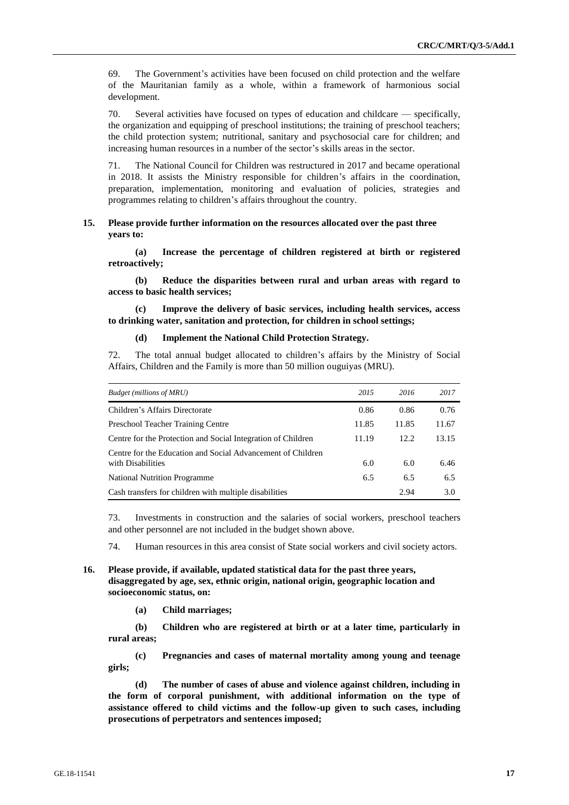69. The Government's activities have been focused on child protection and the welfare of the Mauritanian family as a whole, within a framework of harmonious social development.

70. Several activities have focused on types of education and childcare — specifically, the organization and equipping of preschool institutions; the training of preschool teachers; the child protection system; nutritional, sanitary and psychosocial care for children; and increasing human resources in a number of the sector's skills areas in the sector.

71. The National Council for Children was restructured in 2017 and became operational in 2018. It assists the Ministry responsible for children's affairs in the coordination, preparation, implementation, monitoring and evaluation of policies, strategies and programmes relating to children's affairs throughout the country.

## **15. Please provide further information on the resources allocated over the past three years to:**

**(a) Increase the percentage of children registered at birth or registered retroactively;**

**(b) Reduce the disparities between rural and urban areas with regard to access to basic health services;**

**(c) Improve the delivery of basic services, including health services, access to drinking water, sanitation and protection, for children in school settings;**

**(d) Implement the National Child Protection Strategy.**

72. The total annual budget allocated to children's affairs by the Ministry of Social Affairs, Children and the Family is more than 50 million ouguiyas (MRU).

| <b>Budget (millions of MRU)</b>                                                  | 2015  | 2016  | 2017  |
|----------------------------------------------------------------------------------|-------|-------|-------|
| Children's Affairs Directorate                                                   | 0.86  | 0.86  | 0.76  |
| Preschool Teacher Training Centre                                                | 11.85 | 11.85 | 11.67 |
| Centre for the Protection and Social Integration of Children                     | 11.19 | 12.2  | 13.15 |
| Centre for the Education and Social Advancement of Children<br>with Disabilities | 6.0   | 6.0   | 6.46  |
| <b>National Nutrition Programme</b>                                              | 6.5   | 6.5   | 6.5   |
| Cash transfers for children with multiple disabilities                           |       | 2.94  | 3.0   |

73. Investments in construction and the salaries of social workers, preschool teachers and other personnel are not included in the budget shown above.

74. Human resources in this area consist of State social workers and civil society actors.

## **16. Please provide, if available, updated statistical data for the past three years, disaggregated by age, sex, ethnic origin, national origin, geographic location and socioeconomic status, on:**

**(a) Child marriages;**

**(b) Children who are registered at birth or at a later time, particularly in rural areas;** 

**(c) Pregnancies and cases of maternal mortality among young and teenage girls;**

**(d) The number of cases of abuse and violence against children, including in the form of corporal punishment, with additional information on the type of assistance offered to child victims and the follow-up given to such cases, including prosecutions of perpetrators and sentences imposed;**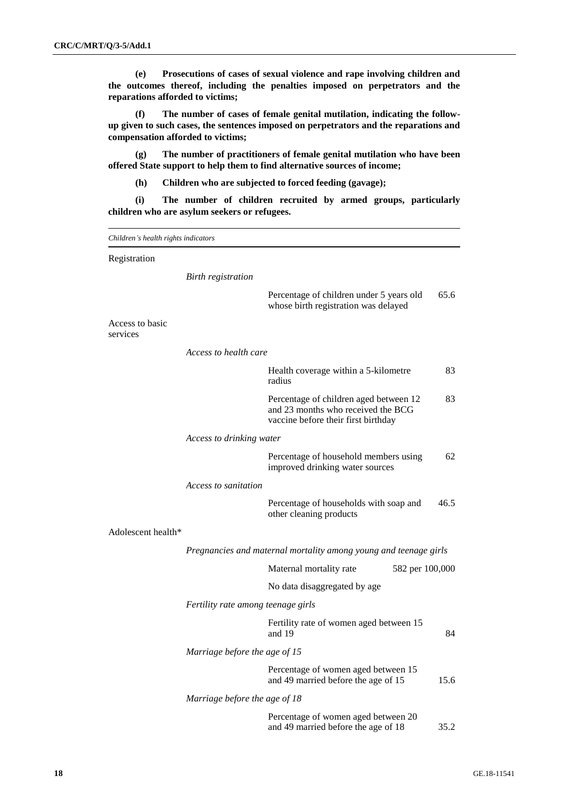**(e) Prosecutions of cases of sexual violence and rape involving children and the outcomes thereof, including the penalties imposed on perpetrators and the reparations afforded to victims;**

**(f) The number of cases of female genital mutilation, indicating the followup given to such cases, the sentences imposed on perpetrators and the reparations and compensation afforded to victims;**

**(g) The number of practitioners of female genital mutilation who have been offered State support to help them to find alternative sources of income;**

**(h) Children who are subjected to forced feeding (gavage);**

**(i) The number of children recruited by armed groups, particularly children who are asylum seekers or refugees.** 

*Children's health rights indicators* Registration *Birth registration* Percentage of children under 5 years old whose birth registration was delayed 65.6 Access to basic services *Access to health care*  Health coverage within a 5-kilometre radius 83 Percentage of children aged between 12 and 23 months who received the BCG vaccine before their first birthday 83 *Access to drinking water*  Percentage of household members using improved drinking water sources 62 *Access to sanitation* Percentage of households with soap and other cleaning products 46.5 Adolescent health\* *Pregnancies and maternal mortality among young and teenage girls*  Maternal mortality rate 582 per 100,000 No data disaggregated by age *Fertility rate among teenage girls* Fertility rate of women aged between 15 and 19 84 *Marriage before the age of 15*  Percentage of women aged between 15 and 49 married before the age of 15 15.6 *Marriage before the age of 18*  Percentage of women aged between 20 and 49 married before the age of 18 35.2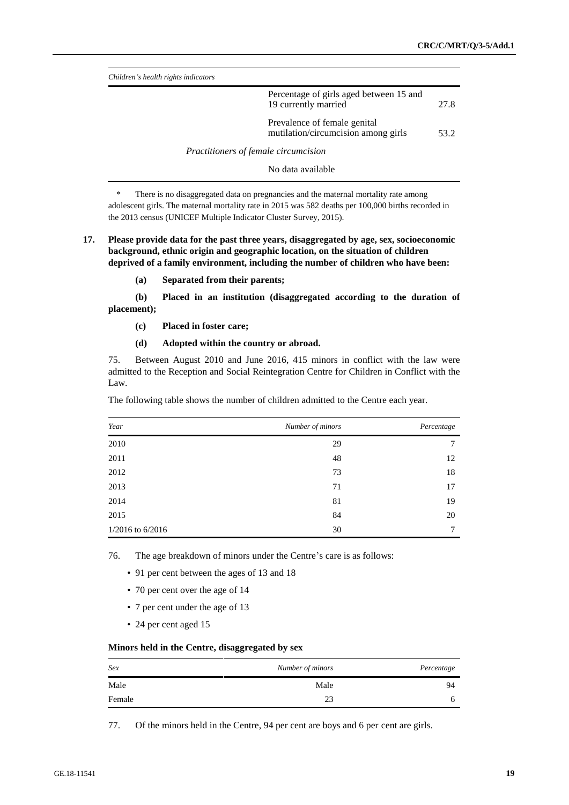| Children's health rights indicators  |                                                                     |      |
|--------------------------------------|---------------------------------------------------------------------|------|
|                                      | Percentage of girls aged between 15 and<br>19 currently married     | 27.8 |
|                                      | Prevalence of female genital<br>mutilation/circumcision among girls | 53.2 |
| Practitioners of female circumcision |                                                                     |      |
|                                      | No data available                                                   |      |

\* There is no disaggregated data on pregnancies and the maternal mortality rate among adolescent girls. The maternal mortality rate in 2015 was 582 deaths per 100,000 births recorded in the 2013 census (UNICEF Multiple Indicator Cluster Survey, 2015).

## **17. Please provide data for the past three years, disaggregated by age, sex, socioeconomic background, ethnic origin and geographic location, on the situation of children deprived of a family environment, including the number of children who have been:**

## **(a) Separated from their parents;**

**(b) Placed in an institution (disaggregated according to the duration of placement);**

## **(c) Placed in foster care;**

#### **(d) Adopted within the country or abroad.**

75. Between August 2010 and June 2016, 415 minors in conflict with the law were admitted to the Reception and Social Reintegration Centre for Children in Conflict with the Law.

The following table shows the number of children admitted to the Centre each year.

| Year             | Number of minors | Percentage |
|------------------|------------------|------------|
| 2010             | 29               | 7          |
| 2011             | 48               | 12         |
| 2012             | 73               | 18         |
| 2013             | 71               | 17         |
| 2014             | 81               | 19         |
| 2015             | 84               | 20         |
| 1/2016 to 6/2016 | 30               | 7          |

76. The age breakdown of minors under the Centre's care is as follows:

- 91 per cent between the ages of 13 and 18
- 70 per cent over the age of 14
- 7 per cent under the age of 13
- 24 per cent aged 15

## **Minors held in the Centre, disaggregated by sex**

| Sex    | Number of minors | Percentage |
|--------|------------------|------------|
| Male   | Male             | 94         |
| Female |                  | 6          |

77. Of the minors held in the Centre, 94 per cent are boys and 6 per cent are girls.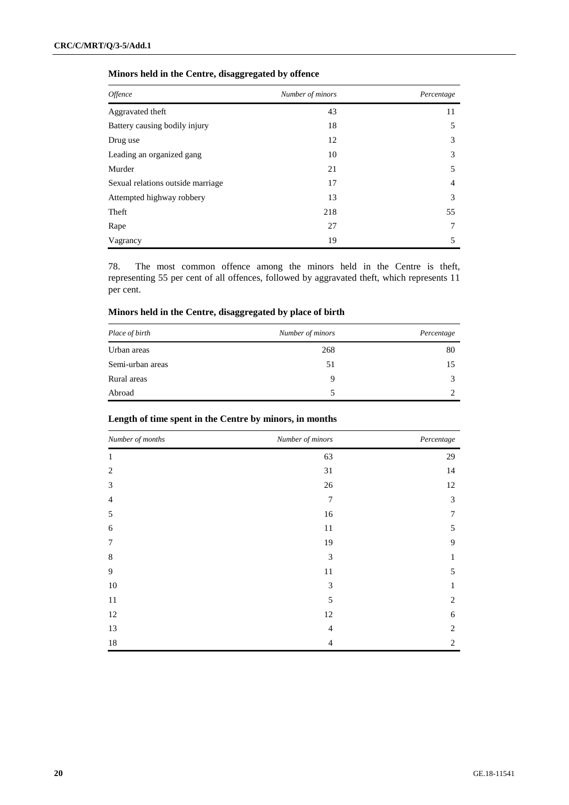| <i><b>Offence</b></i>             | Number of minors | Percentage |
|-----------------------------------|------------------|------------|
| Aggravated theft                  | 43               | 11         |
| Battery causing bodily injury     | 18               | 5          |
| Drug use                          | 12               | 3          |
| Leading an organized gang         | 10               | 3          |
| Murder                            | 21               | 5          |
| Sexual relations outside marriage | 17               | 4          |
| Attempted highway robbery         | 13               | 3          |
| Theft                             | 218              | 55         |
| Rape                              | 27               |            |
| Vagrancy                          | 19               | 5          |

78. The most common offence among the minors held in the Centre is theft, representing 55 per cent of all offences, followed by aggravated theft, which represents 11 per cent.

## **Minors held in the Centre, disaggregated by place of birth**

| Place of birth   | Number of minors | Percentage |
|------------------|------------------|------------|
| Urban areas      | 268              | 80         |
| Semi-urban areas | 51               | 15         |
| Rural areas      | 9                |            |
| Abroad           |                  |            |

| Number of months | Number of minors | Percentage     |
|------------------|------------------|----------------|
| $\mathbf{1}$     | 63               | 29             |
| $\overline{2}$   | 31               | 14             |
| 3                | 26               | 12             |
| 4                | $\overline{7}$   | 3              |
| 5                | 16               | 7              |
| 6                | $11\,$           | 5              |
| 7                | 19               | 9              |
| 8                | 3                | 1              |
| 9                | 11               | 5              |
| 10               | 3                | 1              |
| 11               | 5                | $\overline{2}$ |
| 12               | 12               | 6              |
| 13               | $\overline{4}$   | $\overline{2}$ |
| 18               | $\overline{4}$   | $\overline{2}$ |

## **Length of time spent in the Centre by minors, in months**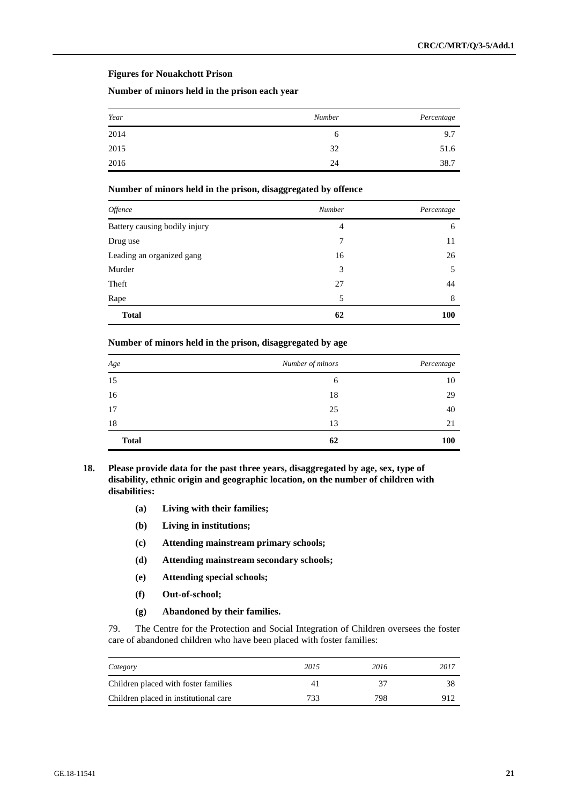## **Figures for Nouakchott Prison**

#### **Number of minors held in the prison each year**

| Year | Number | Percentage |
|------|--------|------------|
| 2014 | O      | 9.7        |
| 2015 | 32     | 51.6       |
| 2016 | 24     | 38.7       |

## **Number of minors held in the prison, disaggregated by offence**

| <i><b>Offence</b></i>         | Number         | Percentage |
|-------------------------------|----------------|------------|
| Battery causing bodily injury | $\overline{4}$ | 6          |
| Drug use                      | 7              | 11         |
| Leading an organized gang     | 16             | 26         |
| Murder                        | 3              | 5          |
| Theft                         | 27             | 44         |
| Rape                          | 5              | 8          |
| <b>Total</b>                  | 62             | 100        |

#### **Number of minors held in the prison, disaggregated by age**

| Age          | Number of minors | Percentage |
|--------------|------------------|------------|
| 15           | 6                | 10         |
| 16           | 18               | 29         |
| 17           | 25               | 40         |
| 18           | 13               | 21         |
| <b>Total</b> | 62               | 100        |

## **18. Please provide data for the past three years, disaggregated by age, sex, type of disability, ethnic origin and geographic location, on the number of children with disabilities:**

- **(a) Living with their families;**
- **(b) Living in institutions;**
- **(c) Attending mainstream primary schools;**
- **(d) Attending mainstream secondary schools;**
- **(e) Attending special schools;**
- **(f) Out-of-school;**
- **(g) Abandoned by their families.**

79. The Centre for the Protection and Social Integration of Children oversees the foster care of abandoned children who have been placed with foster families:

| Category                              | 2015 | 2016 | 2017 |
|---------------------------------------|------|------|------|
| Children placed with foster families  |      | 37   | 38   |
| Children placed in institutional care | 733  | 798  |      |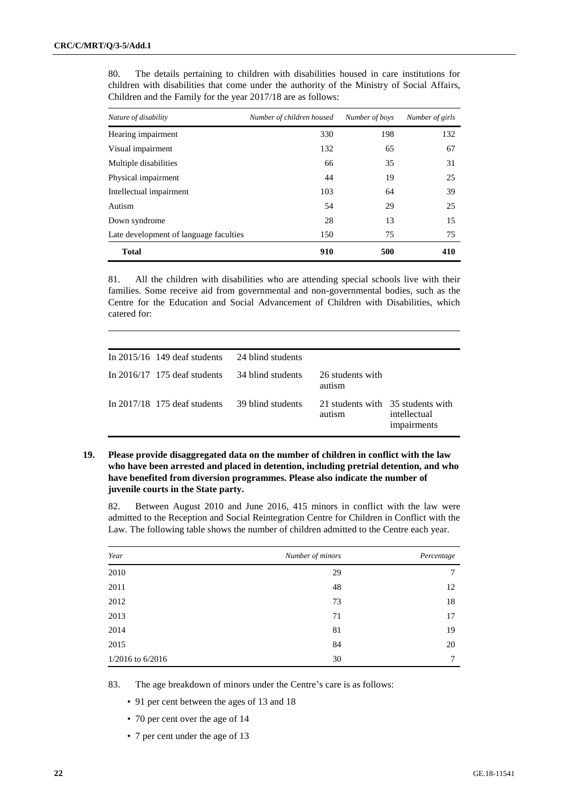| Nature of disability                   | Number of children housed | Number of boys | Number of girls |
|----------------------------------------|---------------------------|----------------|-----------------|
| Hearing impairment                     | 330                       | 198            | 132             |
| Visual impairment                      | 132                       | 65             | 67              |
| Multiple disabilities                  | 66                        | 35             | 31              |
| Physical impairment                    | 44                        | 19             | 25              |
| Intellectual impairment                | 103                       | 64             | 39              |
| Autism                                 | 54                        | 29             | 25              |
| Down syndrome                          | 28                        | 13             | 15              |
| Late development of language faculties | 150                       | 75             | 75              |
| <b>Total</b>                           | 910                       | 500            | 410             |

80. The details pertaining to children with disabilities housed in care institutions for children with disabilities that come under the authority of the Ministry of Social Affairs, Children and the Family for the year 2017/18 are as follows:

81. All the children with disabilities who are attending special schools live with their families. Some receive aid from governmental and non-governmental bodies, such as the Centre for the Education and Social Advancement of Children with Disabilities, which catered for:

| In $2015/16$ 149 deaf students | 24 blind students |                                             |                             |
|--------------------------------|-------------------|---------------------------------------------|-----------------------------|
| In $2016/17$ 175 deaf students | 34 blind students | 26 students with<br>autism                  |                             |
| In $2017/18$ 175 deaf students | 39 blind students | 21 students with 35 students with<br>autism | intellectual<br>impairments |

## **19. Please provide disaggregated data on the number of children in conflict with the law who have been arrested and placed in detention, including pretrial detention, and who have benefited from diversion programmes. Please also indicate the number of juvenile courts in the State party.**

82. Between August 2010 and June 2016, 415 minors in conflict with the law were admitted to the Reception and Social Reintegration Centre for Children in Conflict with the Law. The following table shows the number of children admitted to the Centre each year.

| Year               | Number of minors | Percentage |
|--------------------|------------------|------------|
| 2010               | 29               | 7          |
| 2011               | 48               | 12         |
| 2012               | 73               | 18         |
| 2013               | 71               | 17         |
| 2014               | 81               | 19         |
| 2015               | 84               | 20         |
| $1/2016$ to 6/2016 | 30               | 7          |

83. The age breakdown of minors under the Centre's care is as follows:

- 91 per cent between the ages of 13 and 18
- 70 per cent over the age of 14
- 7 per cent under the age of 13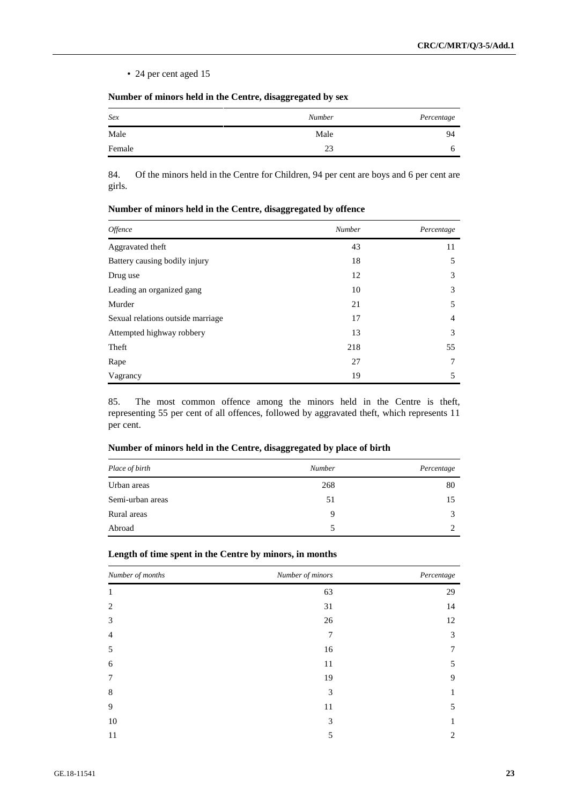• 24 per cent aged 15

## **Number of minors held in the Centre, disaggregated by sex**

| Sex    | <b>Number</b> | Percentage |
|--------|---------------|------------|
| Male   | Male          | 94         |
| Female | 23            | 6          |

84. Of the minors held in the Centre for Children, 94 per cent are boys and 6 per cent are girls.

| <i><b>Offence</b></i>             | Number | Percentage |
|-----------------------------------|--------|------------|
| Aggravated theft                  | 43     | 11         |
| Battery causing bodily injury     | 18     | 5          |
| Drug use                          | 12     | 3          |
| Leading an organized gang         | 10     | 3          |
| Murder                            | 21     | 5          |
| Sexual relations outside marriage | 17     | 4          |
| Attempted highway robbery         | 13     | 3          |
| Theft                             | 218    | 55         |
| Rape                              | 27     |            |
| Vagrancy                          | 19     | 5          |

#### **Number of minors held in the Centre, disaggregated by offence**

85. The most common offence among the minors held in the Centre is theft, representing 55 per cent of all offences, followed by aggravated theft, which represents 11 per cent.

### **Number of minors held in the Centre, disaggregated by place of birth**

| Place of birth   | Number | Percentage   |
|------------------|--------|--------------|
| Urban areas      | 268    | 80           |
| Semi-urban areas | 51     | 15           |
| Rural areas      | 9      | $\mathbf{z}$ |
| Abroad           | 5      |              |

## **Length of time spent in the Centre by minors, in months**

| Number of months | Number of minors | Percentage |
|------------------|------------------|------------|
|                  | 63               | 29         |
| 2                | 31               | 14         |
| 3                | 26               | 12         |
| $\overline{4}$   | 7                | 3          |
| 5                | 16               | 7          |
| 6                | 11               | 5          |
| 7                | 19               | 9          |
| 8                | 3                |            |
| 9                | 11               | 5          |
| 10               | 3                |            |
| 11               | 5                | 2          |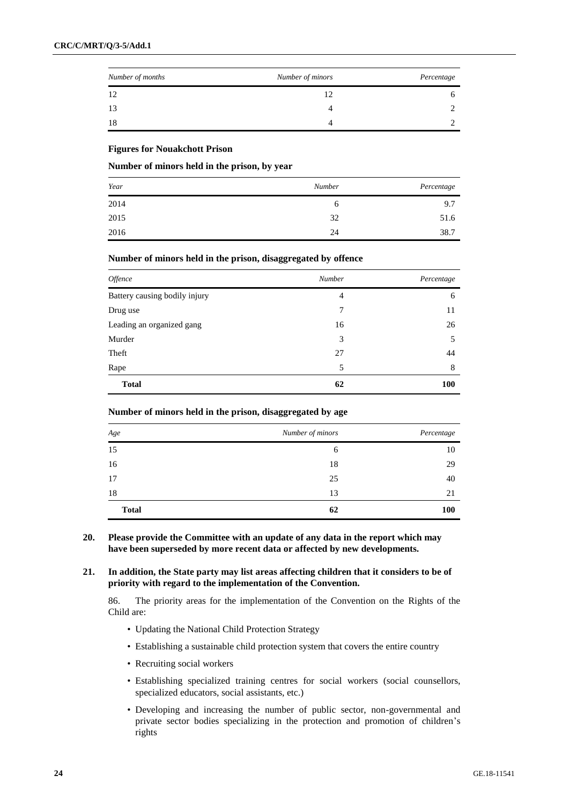| Number of months | Number of minors | Percentage |
|------------------|------------------|------------|
| 12               |                  |            |
| 13               |                  |            |
| 18               |                  |            |

## **Figures for Nouakchott Prison**

**Number of minors held in the prison, by year**

| Year | Number | Percentage |
|------|--------|------------|
| 2014 | O      | 9.7        |
| 2015 | 32     | 51.6       |
| 2016 | 24     | 38.7       |

## **Number of minors held in the prison, disaggregated by offence**

| <i><b>Offence</b></i>         | <b>Number</b> | Percentage |
|-------------------------------|---------------|------------|
| Battery causing bodily injury | 4             | 6          |
| Drug use                      | 7             | 11         |
| Leading an organized gang     | 16            | 26         |
| Murder                        | 3             |            |
| Theft                         | 27            | 44         |
| Rape                          | 5             | 8          |
| <b>Total</b>                  | 62            | 100        |

## **Number of minors held in the prison, disaggregated by age**

| Age          | Number of minors | Percentage |
|--------------|------------------|------------|
| 15           | 6                | 10         |
| 16           | 18               | 29         |
| 17           | 25               | 40         |
| 18           | 13               | 21         |
| <b>Total</b> | 62               | 100        |

## **20. Please provide the Committee with an update of any data in the report which may have been superseded by more recent data or affected by new developments.**

## **21. In addition, the State party may list areas affecting children that it considers to be of priority with regard to the implementation of the Convention.**

86. The priority areas for the implementation of the Convention on the Rights of the Child are:

- Updating the National Child Protection Strategy
- Establishing a sustainable child protection system that covers the entire country
- Recruiting social workers
- Establishing specialized training centres for social workers (social counsellors, specialized educators, social assistants, etc.)
- Developing and increasing the number of public sector, non-governmental and private sector bodies specializing in the protection and promotion of children's rights